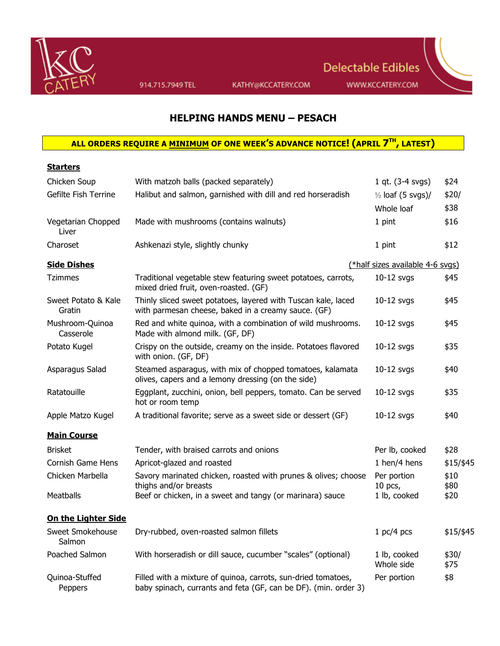

914.715.7949 TEL

KATHY@KCCATERY.COM

## **HELPING HANDS MENU – PESACH**

## **ALL ORDERS REQUIRE A MINIMUM OF ONE WEEK'S ADVANCE NOTICE! (APRIL 7TH, LATEST)**

| <b>Starters</b>               |                                                                                                                                  |                                  |               |
|-------------------------------|----------------------------------------------------------------------------------------------------------------------------------|----------------------------------|---------------|
| Chicken Soup                  | With matzoh balls (packed separately)                                                                                            | 1 qt. $(3-4$ svgs)               | \$24          |
| Gefilte Fish Terrine          | Halibut and salmon, garnished with dill and red horseradish                                                                      | $\frac{1}{2}$ loaf (5 svgs)/     | \$20/         |
|                               |                                                                                                                                  | Whole loaf                       | \$38          |
| Vegetarian Chopped<br>Liver   | Made with mushrooms (contains walnuts)                                                                                           | 1 pint                           | \$16          |
| Charoset                      | Ashkenazi style, slightly chunky                                                                                                 | 1 pint                           | \$12          |
| <b>Side Dishes</b>            |                                                                                                                                  | (*half sizes available 4-6 svgs) |               |
| <b>Tzimmes</b>                | Traditional vegetable stew featuring sweet potatoes, carrots,<br>mixed dried fruit, oven-roasted. (GF)                           | 10-12 svgs                       | \$45          |
| Sweet Potato & Kale<br>Gratin | Thinly sliced sweet potatoes, layered with Tuscan kale, laced<br>with parmesan cheese, baked in a creamy sauce. (GF)             | $10-12$ svgs                     | \$45          |
| Mushroom-Quinoa<br>Casserole  | Red and white quinoa, with a combination of wild mushrooms.<br>Made with almond milk. (GF, DF)                                   | 10-12 svgs                       | \$45          |
| Potato Kugel                  | Crispy on the outside, creamy on the inside. Potatoes flavored<br>with onion. (GF, DF)                                           | $10-12$ svgs                     | \$35          |
| Asparagus Salad               | Steamed asparagus, with mix of chopped tomatoes, kalamata<br>olives, capers and a lemony dressing (on the side)                  | 10-12 svgs                       | \$40          |
| Ratatouille                   | Eggplant, zucchini, onion, bell peppers, tomato. Can be served<br>hot or room temp                                               | $10-12$ svgs                     | \$35          |
| Apple Matzo Kugel             | A traditional favorite; serve as a sweet side or dessert (GF)                                                                    | $10-12$ svgs                     | \$40          |
| <b>Main Course</b>            |                                                                                                                                  |                                  |               |
| <b>Brisket</b>                | Tender, with braised carrots and onions                                                                                          | Per lb, cooked                   | \$28          |
| Cornish Game Hens             | Apricot-glazed and roasted                                                                                                       | 1 hen/4 hens                     | \$15/\$45     |
| Chicken Marbella              | Savory marinated chicken, roasted with prunes & olives; choose<br>thighs and/or breasts                                          | Per portion<br>$10$ pcs,         | \$10<br>\$80  |
| <b>Meatballs</b>              | Beef or chicken, in a sweet and tangy (or marinara) sauce                                                                        | 1 lb, cooked                     | \$20          |
| <b>On the Lighter Side</b>    |                                                                                                                                  |                                  |               |
| Sweet Smokehouse<br>Salmon    | Dry-rubbed, oven-roasted salmon fillets                                                                                          | 1 pc/4 pcs                       | \$15/\$45     |
| Poached Salmon                | With horseradish or dill sauce, cucumber "scales" (optional)                                                                     | 1 lb, cooked<br>Whole side       | \$30/<br>\$75 |
| Quinoa-Stuffed<br>Peppers     | Filled with a mixture of quinoa, carrots, sun-dried tomatoes,<br>baby spinach, currants and feta (GF, can be DF). (min. order 3) | Per portion                      | \$8           |